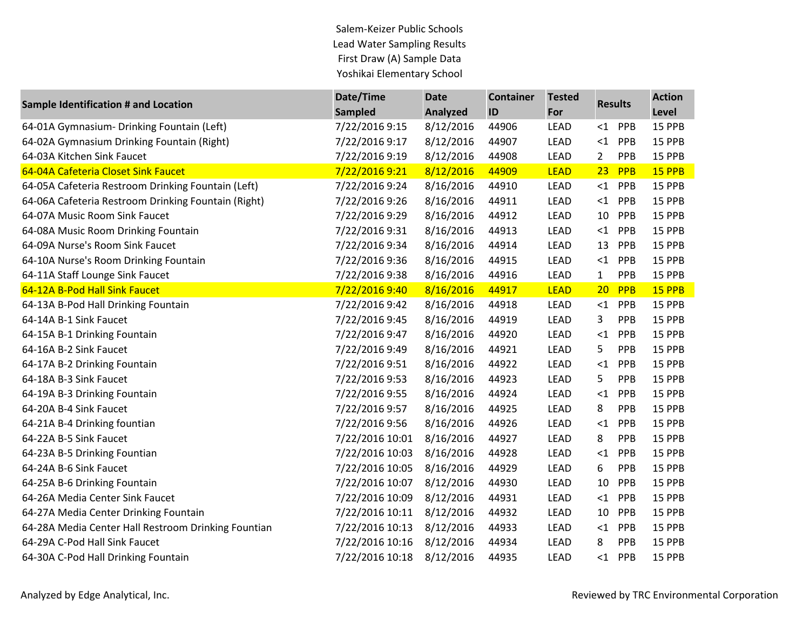Salem-Keizer Public Schools Lead Water Sampling Results First Draw (A) Sample Data Yoshikai Elementary School

| <b>Sample Identification # and Location</b>         | Date/Time       | <b>Date</b>     | <b>Container</b> | <b>Tested</b> | <b>Results</b> |     | <b>Action</b> |
|-----------------------------------------------------|-----------------|-----------------|------------------|---------------|----------------|-----|---------------|
|                                                     | <b>Sampled</b>  | <b>Analyzed</b> | ID               | For           |                |     | Level         |
| 64-01A Gymnasium- Drinking Fountain (Left)          | 7/22/2016 9:15  | 8/12/2016       | 44906            | <b>LEAD</b>   | $\leq$ 1       | PPB | 15 PPB        |
| 64-02A Gymnasium Drinking Fountain (Right)          | 7/22/2016 9:17  | 8/12/2016       | 44907            | <b>LEAD</b>   | <1             | PPB | 15 PPB        |
| 64-03A Kitchen Sink Faucet                          | 7/22/2016 9:19  | 8/12/2016       | 44908            | LEAD          | 2              | PPB | 15 PPB        |
| 64-04A Cafeteria Closet Sink Faucet                 | 7/22/2016 9:21  | 8/12/2016       | 44909            | <b>LEAD</b>   | 23             | PPB | 15 PPB        |
| 64-05A Cafeteria Restroom Drinking Fountain (Left)  | 7/22/2016 9:24  | 8/16/2016       | 44910            | LEAD          | $<$ 1          | PPB | 15 PPB        |
| 64-06A Cafeteria Restroom Drinking Fountain (Right) | 7/22/2016 9:26  | 8/16/2016       | 44911            | <b>LEAD</b>   | $<$ 1          | PPB | 15 PPB        |
| 64-07A Music Room Sink Faucet                       | 7/22/2016 9:29  | 8/16/2016       | 44912            | <b>LEAD</b>   | 10             | PPB | 15 PPB        |
| 64-08A Music Room Drinking Fountain                 | 7/22/2016 9:31  | 8/16/2016       | 44913            | <b>LEAD</b>   | $<$ 1          | PPB | 15 PPB        |
| 64-09A Nurse's Room Sink Faucet                     | 7/22/2016 9:34  | 8/16/2016       | 44914            | <b>LEAD</b>   | 13             | PPB | 15 PPB        |
| 64-10A Nurse's Room Drinking Fountain               | 7/22/2016 9:36  | 8/16/2016       | 44915            | <b>LEAD</b>   | $<$ 1          | PPB | 15 PPB        |
| 64-11A Staff Lounge Sink Faucet                     | 7/22/2016 9:38  | 8/16/2016       | 44916            | <b>LEAD</b>   | $\mathbf{1}$   | PPB | 15 PPB        |
| 64-12A B-Pod Hall Sink Faucet                       | 7/22/2016 9:40  | 8/16/2016       | 44917            | <b>LEAD</b>   | 20             | PPB | 15 PPB        |
| 64-13A B-Pod Hall Drinking Fountain                 | 7/22/2016 9:42  | 8/16/2016       | 44918            | <b>LEAD</b>   | $\leq$ 1       | PPB | 15 PPB        |
| 64-14A B-1 Sink Faucet                              | 7/22/2016 9:45  | 8/16/2016       | 44919            | <b>LEAD</b>   | 3              | PPB | 15 PPB        |
| 64-15A B-1 Drinking Fountain                        | 7/22/2016 9:47  | 8/16/2016       | 44920            | <b>LEAD</b>   | <1             | PPB | 15 PPB        |
| 64-16A B-2 Sink Faucet                              | 7/22/2016 9:49  | 8/16/2016       | 44921            | <b>LEAD</b>   | 5              | PPB | 15 PPB        |
| 64-17A B-2 Drinking Fountain                        | 7/22/2016 9:51  | 8/16/2016       | 44922            | <b>LEAD</b>   | <1             | PPB | 15 PPB        |
| 64-18A B-3 Sink Faucet                              | 7/22/2016 9:53  | 8/16/2016       | 44923            | LEAD          | 5              | PPB | 15 PPB        |
| 64-19A B-3 Drinking Fountain                        | 7/22/2016 9:55  | 8/16/2016       | 44924            | <b>LEAD</b>   | <1             | PPB | 15 PPB        |
| 64-20A B-4 Sink Faucet                              | 7/22/2016 9:57  | 8/16/2016       | 44925            | <b>LEAD</b>   | 8              | PPB | 15 PPB        |
| 64-21A B-4 Drinking fountian                        | 7/22/2016 9:56  | 8/16/2016       | 44926            | <b>LEAD</b>   | $\leq$ 1       | PPB | 15 PPB        |
| 64-22A B-5 Sink Faucet                              | 7/22/2016 10:01 | 8/16/2016       | 44927            | <b>LEAD</b>   | 8              | PPB | 15 PPB        |
| 64-23A B-5 Drinking Fountian                        | 7/22/2016 10:03 | 8/16/2016       | 44928            | LEAD          | $<$ 1          | PPB | 15 PPB        |
| 64-24A B-6 Sink Faucet                              | 7/22/2016 10:05 | 8/16/2016       | 44929            | <b>LEAD</b>   | 6              | PPB | 15 PPB        |
| 64-25A B-6 Drinking Fountain                        | 7/22/2016 10:07 | 8/12/2016       | 44930            | <b>LEAD</b>   | 10             | PPB | 15 PPB        |
| 64-26A Media Center Sink Faucet                     | 7/22/2016 10:09 | 8/12/2016       | 44931            | <b>LEAD</b>   | $<$ 1          | PPB | 15 PPB        |
| 64-27A Media Center Drinking Fountain               | 7/22/2016 10:11 | 8/12/2016       | 44932            | <b>LEAD</b>   | 10             | PPB | 15 PPB        |
| 64-28A Media Center Hall Restroom Drinking Fountian | 7/22/2016 10:13 | 8/12/2016       | 44933            | <b>LEAD</b>   | <1             | PPB | 15 PPB        |
| 64-29A C-Pod Hall Sink Faucet                       | 7/22/2016 10:16 | 8/12/2016       | 44934            | <b>LEAD</b>   | 8              | PPB | 15 PPB        |
| 64-30A C-Pod Hall Drinking Fountain                 | 7/22/2016 10:18 | 8/12/2016       | 44935            | <b>LEAD</b>   | $<$ 1          | PPB | 15 PPB        |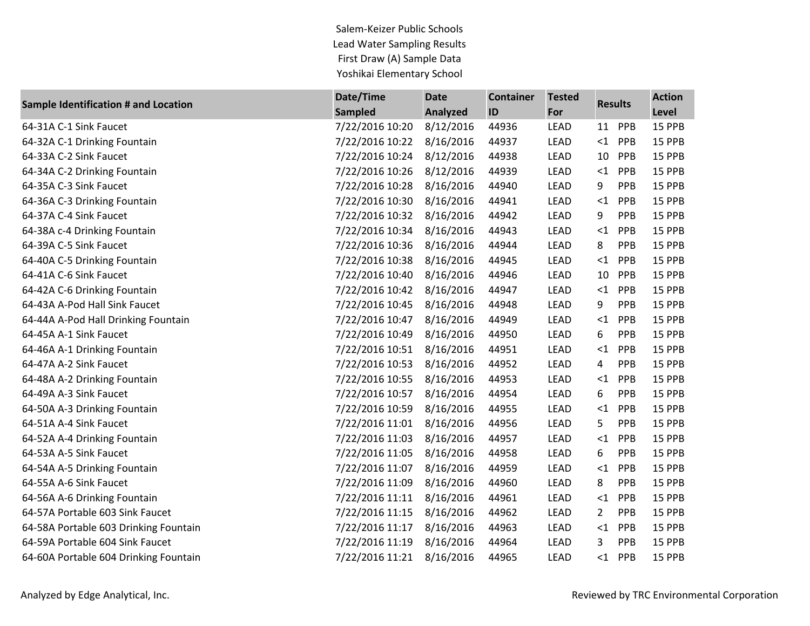Salem-Keizer Public Schools Lead Water Sampling Results First Draw (A) Sample Data Yoshikai Elementary School

| <b>Sample Identification # and Location</b> | Date/Time       | <b>Date</b>     | <b>Container</b> | <b>Tested</b> | <b>Results</b> |     | <b>Action</b> |
|---------------------------------------------|-----------------|-----------------|------------------|---------------|----------------|-----|---------------|
|                                             | <b>Sampled</b>  | <b>Analyzed</b> | ID               | For           |                |     | Level         |
| 64-31A C-1 Sink Faucet                      | 7/22/2016 10:20 | 8/12/2016       | 44936            | LEAD          | 11             | PPB | 15 PPB        |
| 64-32A C-1 Drinking Fountain                | 7/22/2016 10:22 | 8/16/2016       | 44937            | LEAD          | $\leq$ 1       | PPB | 15 PPB        |
| 64-33A C-2 Sink Faucet                      | 7/22/2016 10:24 | 8/12/2016       | 44938            | LEAD          | 10             | PPB | 15 PPB        |
| 64-34A C-2 Drinking Fountain                | 7/22/2016 10:26 | 8/12/2016       | 44939            | <b>LEAD</b>   | ${<}1$         | PPB | 15 PPB        |
| 64-35A C-3 Sink Faucet                      | 7/22/2016 10:28 | 8/16/2016       | 44940            | <b>LEAD</b>   | 9              | PPB | 15 PPB        |
| 64-36A C-3 Drinking Fountain                | 7/22/2016 10:30 | 8/16/2016       | 44941            | <b>LEAD</b>   | $<$ 1          | PPB | 15 PPB        |
| 64-37A C-4 Sink Faucet                      | 7/22/2016 10:32 | 8/16/2016       | 44942            | <b>LEAD</b>   | 9              | PPB | 15 PPB        |
| 64-38A c-4 Drinking Fountain                | 7/22/2016 10:34 | 8/16/2016       | 44943            | <b>LEAD</b>   | <1             | PPB | 15 PPB        |
| 64-39A C-5 Sink Faucet                      | 7/22/2016 10:36 | 8/16/2016       | 44944            | LEAD          | 8              | PPB | 15 PPB        |
| 64-40A C-5 Drinking Fountain                | 7/22/2016 10:38 | 8/16/2016       | 44945            | <b>LEAD</b>   | ${<}1$         | PPB | 15 PPB        |
| 64-41A C-6 Sink Faucet                      | 7/22/2016 10:40 | 8/16/2016       | 44946            | LEAD          | 10             | PPB | 15 PPB        |
| 64-42A C-6 Drinking Fountain                | 7/22/2016 10:42 | 8/16/2016       | 44947            | <b>LEAD</b>   | $<$ 1          | PPB | 15 PPB        |
| 64-43A A-Pod Hall Sink Faucet               | 7/22/2016 10:45 | 8/16/2016       | 44948            | LEAD          | 9              | PPB | 15 PPB        |
| 64-44A A-Pod Hall Drinking Fountain         | 7/22/2016 10:47 | 8/16/2016       | 44949            | <b>LEAD</b>   | <1             | PPB | 15 PPB        |
| 64-45A A-1 Sink Faucet                      | 7/22/2016 10:49 | 8/16/2016       | 44950            | <b>LEAD</b>   | 6              | PPB | 15 PPB        |
| 64-46A A-1 Drinking Fountain                | 7/22/2016 10:51 | 8/16/2016       | 44951            | <b>LEAD</b>   | <1             | PPB | 15 PPB        |
| 64-47A A-2 Sink Faucet                      | 7/22/2016 10:53 | 8/16/2016       | 44952            | LEAD          | 4              | PPB | 15 PPB        |
| 64-48A A-2 Drinking Fountain                | 7/22/2016 10:55 | 8/16/2016       | 44953            | <b>LEAD</b>   | <1             | PPB | 15 PPB        |
| 64-49A A-3 Sink Faucet                      | 7/22/2016 10:57 | 8/16/2016       | 44954            | LEAD          | 6              | PPB | 15 PPB        |
| 64-50A A-3 Drinking Fountain                | 7/22/2016 10:59 | 8/16/2016       | 44955            | LEAD          | ${<}1$         | PPB | 15 PPB        |
| 64-51A A-4 Sink Faucet                      | 7/22/2016 11:01 | 8/16/2016       | 44956            | LEAD          | 5              | PPB | 15 PPB        |
| 64-52A A-4 Drinking Fountain                | 7/22/2016 11:03 | 8/16/2016       | 44957            | <b>LEAD</b>   | <1             | PPB | 15 PPB        |
| 64-53A A-5 Sink Faucet                      | 7/22/2016 11:05 | 8/16/2016       | 44958            | <b>LEAD</b>   | 6              | PPB | 15 PPB        |
| 64-54A A-5 Drinking Fountain                | 7/22/2016 11:07 | 8/16/2016       | 44959            | <b>LEAD</b>   | $<$ 1          | PPB | 15 PPB        |
| 64-55A A-6 Sink Faucet                      | 7/22/2016 11:09 | 8/16/2016       | 44960            | LEAD          | 8              | PPB | 15 PPB        |
| 64-56A A-6 Drinking Fountain                | 7/22/2016 11:11 | 8/16/2016       | 44961            | LEAD          | <1             | PPB | 15 PPB        |
| 64-57A Portable 603 Sink Faucet             | 7/22/2016 11:15 | 8/16/2016       | 44962            | LEAD          | $\overline{2}$ | PPB | 15 PPB        |
| 64-58A Portable 603 Drinking Fountain       | 7/22/2016 11:17 | 8/16/2016       | 44963            | LEAD          | ${<}1$         | PPB | 15 PPB        |
| 64-59A Portable 604 Sink Faucet             | 7/22/2016 11:19 | 8/16/2016       | 44964            | <b>LEAD</b>   | 3              | PPB | 15 PPB        |
| 64-60A Portable 604 Drinking Fountain       | 7/22/2016 11:21 | 8/16/2016       | 44965            | <b>LEAD</b>   | $<$ 1          | PPB | 15 PPB        |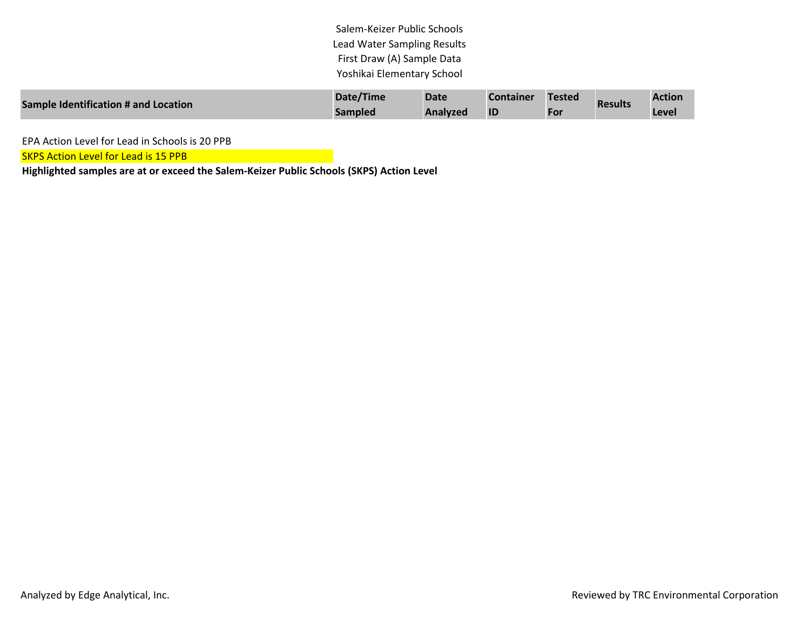Salem-Keizer Public Schools Lead Water Sampling Results First Draw (A) Sample Data Yoshikai Elementary School

| Sample Identification # and Location | Date/Time      | <b>Date</b>     | <b>Container</b> | <b>Tested</b> | <b>Results</b> | <b>Action</b> |
|--------------------------------------|----------------|-----------------|------------------|---------------|----------------|---------------|
|                                      | <b>Sampled</b> | <b>Analyzed</b> | <b>ID</b>        | For           |                | Level         |

EPA Action Level for Lead in Schools is 20 PPB

**SKPS Action Level for Lead is 15 PPB** 

**Highlighted samples are at or exceed the Salem-Keizer Public Schools (SKPS) Action Level**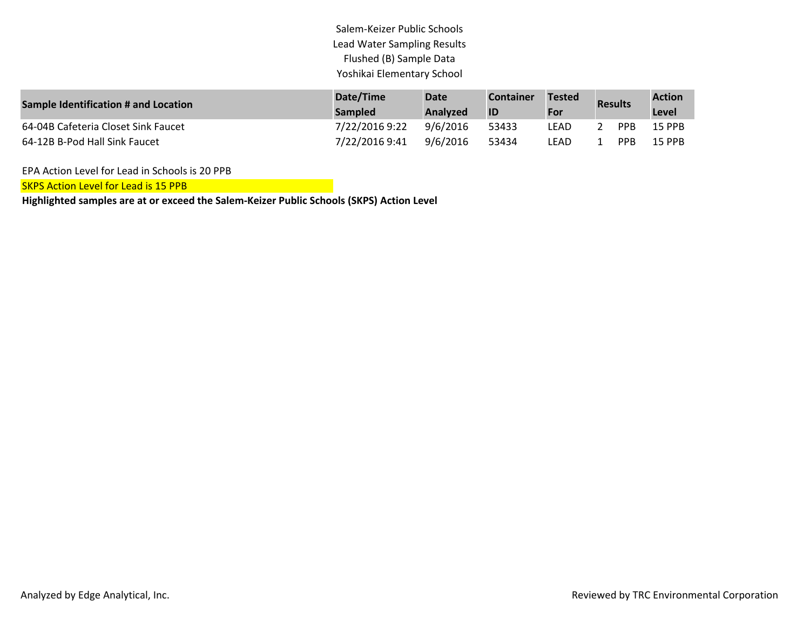Salem-Keizer Public Schools Lead Water Sampling Results Flushed (B) Sample Data Yoshikai Elementary School

| <b>Sample Identification # and Location</b> | Date/Time<br><b>Sampled</b> | <b>Date</b><br>Analyzed | <b>Container</b><br>ID | <b>Tested</b><br>For | <b>Results</b> |                 | <b>Action</b><br>Level |
|---------------------------------------------|-----------------------------|-------------------------|------------------------|----------------------|----------------|-----------------|------------------------|
| 64-04B Cafeteria Closet Sink Faucet         | 7/22/2016 9:22              | 9/6/2016                | 53433                  | LEAD                 |                | <b>PPR</b>      | <b>15 PPB</b>          |
| 64-12B B-Pod Hall Sink Faucet               | 7/22/2016 9:41              | 9/6/2016                | 53434                  | LEAD                 |                | PP <sub>B</sub> | 15 PPB                 |

EPA Action Level for Lead in Schools is 20 PPB

SKPS Action Level for Lead is 15 PPB

**Highlighted samples are at or exceed the Salem-Keizer Public Schools (SKPS) Action Level**